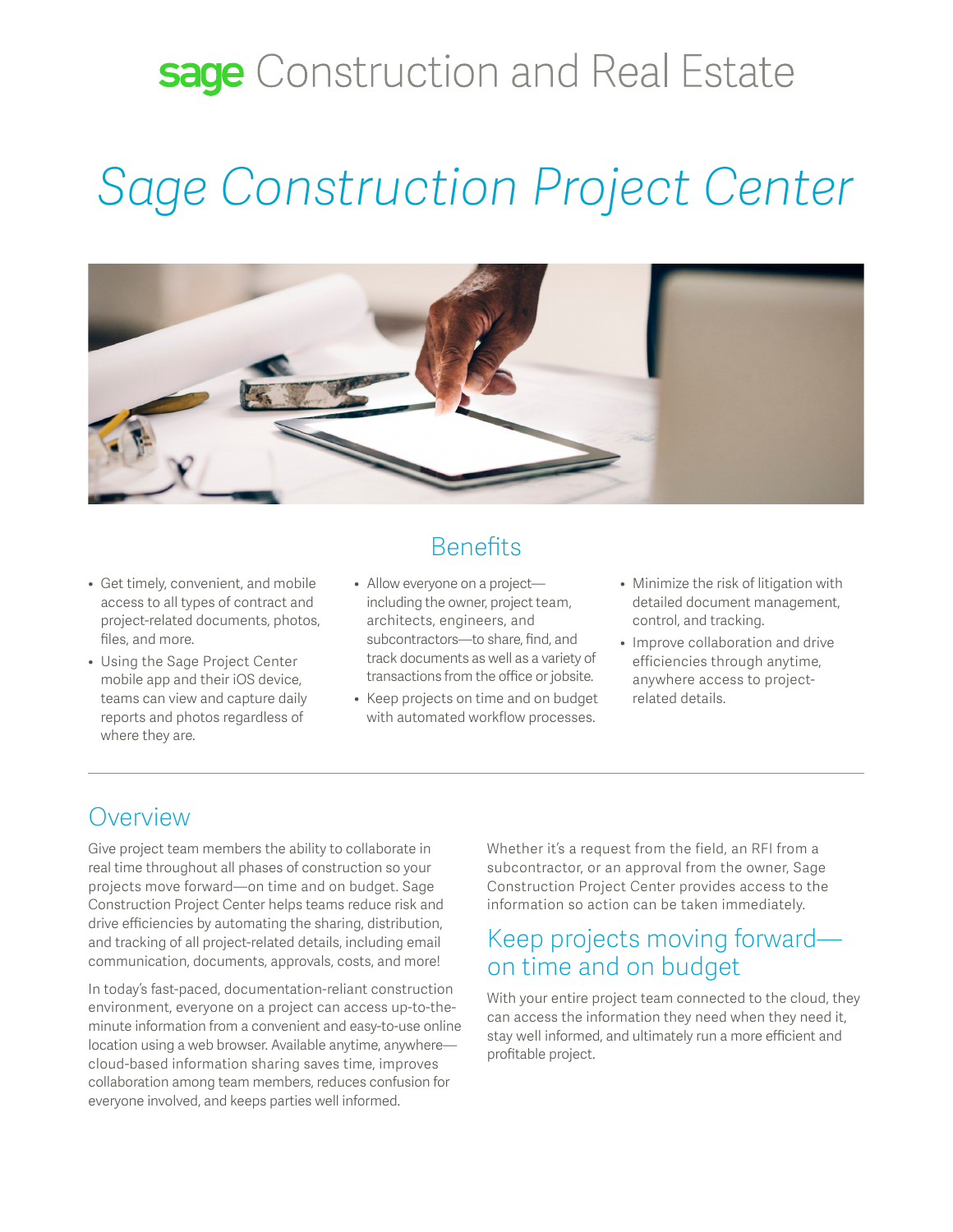### sage Construction and Real Estate

# *Sage Construction Project Center*



- Get timely, convenient, and mobile access to all types of contract and project-related documents, photos, files, and more.
- Using the Sage Project Center mobile app and their iOS device, teams can view and capture daily reports and photos regardless of where they are.

### **Benefits**

- Allow everyone on a project including the owner, project team, architects, engineers, and subcontractors—to share, find, and track documents as well as a variety of transactions from the office or jobsite.
- Keep projects on time and on budget with automated workflow processes.
- Minimize the risk of litigation with detailed document management, control, and tracking.
- Improve collaboration and drive efficiencies through anytime, anywhere access to projectrelated details.

#### Overview

Give project team members the ability to collaborate in real time throughout all phases of construction so your projects move forward—on time and on budget. Sage Construction Project Center helps teams reduce risk and drive efficiencies by automating the sharing, distribution, and tracking of all project-related details, including email communication, documents, approvals, costs, and more!

In today's fast-paced, documentation-reliant construction environment, everyone on a project can access up-to-theminute information from a convenient and easy-to-use online location using a web browser. Available anytime, anywhere cloud-based information sharing saves time, improves collaboration among team members, reduces confusion for everyone involved, and keeps parties well informed.

Whether it's a request from the field, an RFI from a subcontractor, or an approval from the owner, Sage Construction Project Center provides access to the information so action can be taken immediately.

#### Keep projects moving forward on time and on budget

With your entire project team connected to the cloud, they can access the information they need when they need it, stay well informed, and ultimately run a more efficient and profitable project.